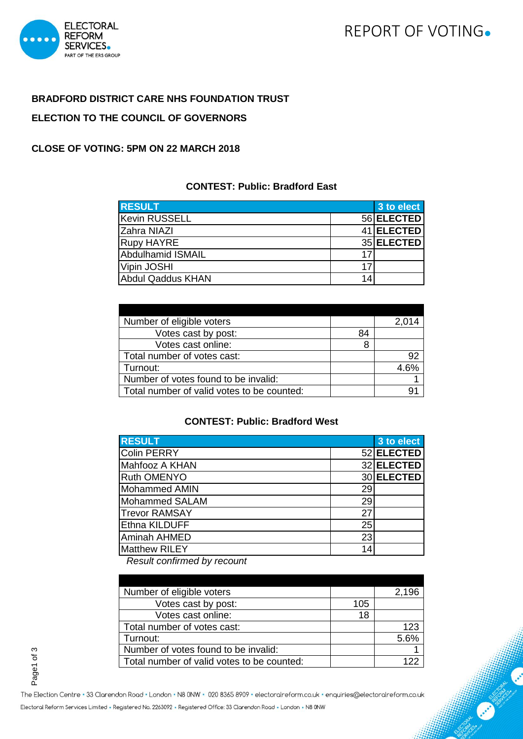# REPORT OF VOTING.



# **BRADFORD DISTRICT CARE NHS FOUNDATION TRUST ELECTION TO THE COUNCIL OF GOVERNORS**

#### **CLOSE OF VOTING: 5PM ON 22 MARCH 2018**

# **CONTEST: Public: Bradford East**

| <b>RESULT</b>            |    | 3 to elect |
|--------------------------|----|------------|
| Kevin RUSSELL            |    | 56 ELECTED |
| Zahra NIAZI              |    | 41 ELECTED |
| <b>Rupy HAYRE</b>        |    | 35 ELECTED |
| <b>Abdulhamid ISMAIL</b> | 17 |            |
| Vipin JOSHI              | 17 |            |
| Abdul Qaddus KHAN        | 14 |            |

| Number of eligible voters                  |    | 2,014 |
|--------------------------------------------|----|-------|
| Votes cast by post:                        | 84 |       |
| Votes cast online:                         |    |       |
| Total number of votes cast:                |    | 92    |
| Turnout:                                   |    | 4.6%  |
| Number of votes found to be invalid:       |    |       |
| Total number of valid votes to be counted: |    |       |

# **CONTEST: Public: Bradford West**

| <b>RESULT</b>         |    | 3 to elect |
|-----------------------|----|------------|
| <b>Colin PERRY</b>    |    | 52 ELECTED |
| Mahfooz A KHAN        |    | 32 ELECTED |
| <b>Ruth OMENYO</b>    |    | 30 ELECTED |
| <b>Mohammed AMIN</b>  | 29 |            |
| <b>Mohammed SALAM</b> | 29 |            |
| <b>Trevor RAMSAY</b>  | 27 |            |
| <b>Ethna KILDUFF</b>  | 25 |            |
| <b>Aminah AHMED</b>   | 23 |            |
| <b>Matthew RILEY</b>  | 14 |            |

*Result confirmed by recount* 

| Number of eligible voters                  |     | 2,196 |
|--------------------------------------------|-----|-------|
| Votes cast by post:                        | 105 |       |
| Votes cast online:                         | 18  |       |
| Total number of votes cast:                |     | 123   |
| Turnout:                                   |     | 5.6%  |
| Number of votes found to be invalid:       |     |       |
| Total number of valid votes to be counted: |     |       |

Page1 of 3

The Election Centre · 33 Clarendon Road · London · N8 0NW · 020 8365 8909 · electoralreform.co.uk · enquiries@electoralreform.co.uk

Electoral Reform Services Limited · Registered No. 2263092 · Registered Office: 33 Clarendon Road · London · N8 0NW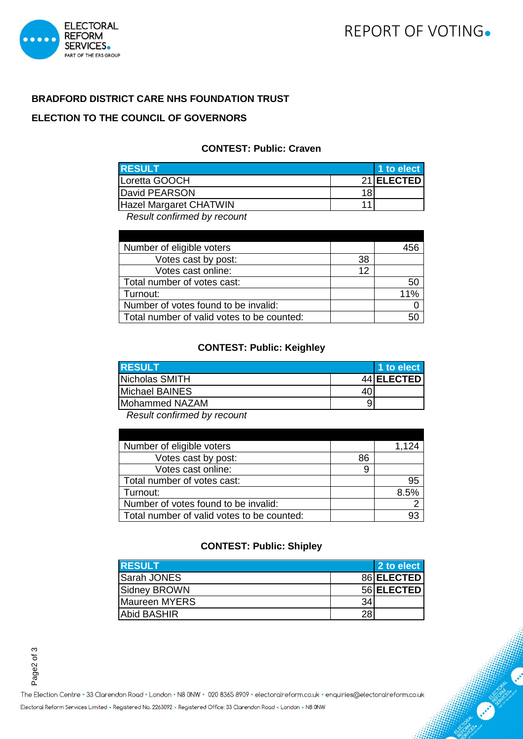



# **BRADFORD DISTRICT CARE NHS FOUNDATION TRUST**

### **ELECTION TO THE COUNCIL OF GOVERNORS**

#### **CONTEST: Public: Craven**

| <b>RESULT</b>          |    | 1 to elect |
|------------------------|----|------------|
| Loretta GOOCH          |    | 21 ELECTED |
| David PEARSON          | 18 |            |
| Hazel Margaret CHATWIN |    |            |

*Result confirmed by recount*

| Number of eligible voters                  |    |     |
|--------------------------------------------|----|-----|
| Votes cast by post:                        | 38 |     |
| Votes cast online:                         | 12 |     |
| Total number of votes cast:                |    | 50  |
| Turnout:                                   |    | 11% |
| Number of votes found to be invalid:       |    |     |
| Total number of valid votes to be counted: |    |     |

#### **CONTEST: Public: Keighley**

| <b>RESULT</b>  |    | 1 to elect |
|----------------|----|------------|
| Nicholas SMITH |    | 44 ELECTED |
| Michael BAINES | 40 |            |
| Mohammed NAZAM | 9  |            |

*Result confirmed by recount*

| Number of eligible voters                  |    | 1,124 |
|--------------------------------------------|----|-------|
| Votes cast by post:                        | 86 |       |
| Votes cast online:                         | 9  |       |
| Total number of votes cast:                |    | 95    |
| Turnout:                                   |    | 8.5%  |
| Number of votes found to be invalid:       |    |       |
| Total number of valid votes to be counted: |    |       |

#### **CONTEST: Public: Shipley**

| <b>RESULT</b>      |    | 2 to elect |
|--------------------|----|------------|
| <b>Sarah JONES</b> |    | 86 ELECTED |
| Sidney BROWN       |    | 56 ELECTED |
| Maureen MYERS      | 34 |            |
| <b>Abid BASHIR</b> | 28 |            |

Page2 of 3

The Election Centre · 33 Clarendon Road · London · N8 0NW · 020 8365 8909 · electoralreform.co.uk · enquiries@electoralreform.co.uk